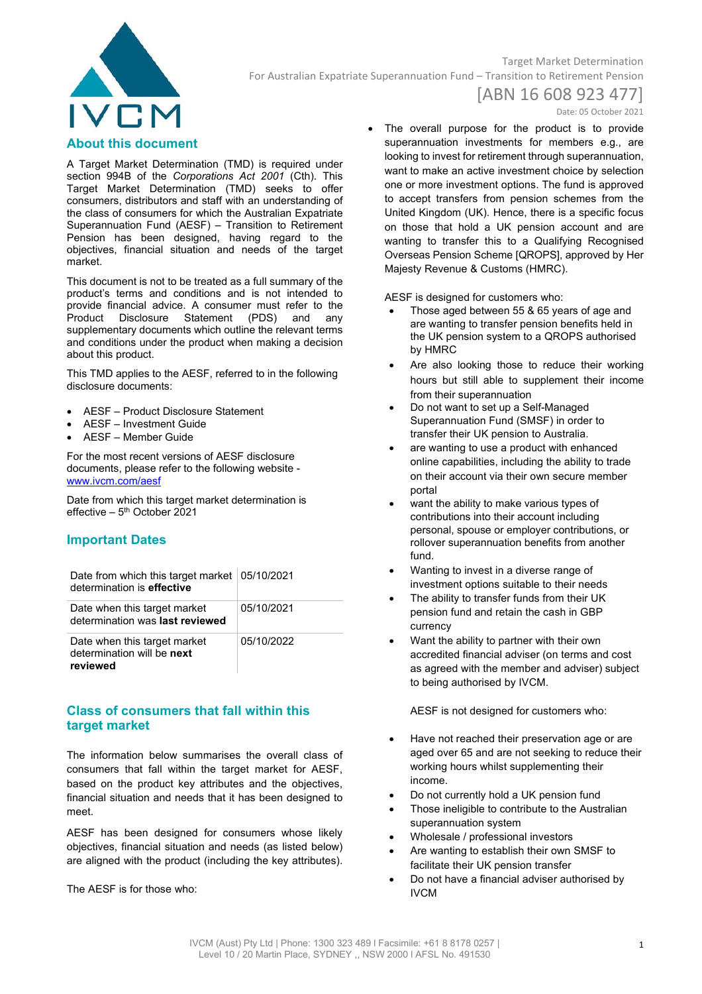

## Target Market Determination For Australian Expatriate Superannuation Fund – Transition to Retirement Pension

# [ABN 16 608 923 477]

Date: 05 October 2021

### **About this document**

A Target Market Determination (TMD) is required under section 994B of the *Corporations Act 2001* (Cth). This Target Market Determination (TMD) seeks to offer consumers, distributors and staff with an understanding of the class of consumers for which the Australian Expatriate Superannuation Fund (AESF) – Transition to Retirement Pension has been designed, having regard to the objectives, financial situation and needs of the target market.

This document is not to be treated as a full summary of the product's terms and conditions and is not intended to provide financial advice. A consumer must refer to the Product Disclosure Statement (PDS) and any supplementary documents which outline the relevant terms and conditions under the product when making a decision about this product.

This TMD applies to the AESF, referred to in the following disclosure documents:

- AESF Product Disclosure Statement
- AESF Investment Guide
- AESF Member Guide

For the most recent versions of AESF disclosure documents, please refer to the following website www.ivcm.com/aesf

Date from which this target market determination is effective  $-5<sup>th</sup>$  October 2021

#### **Important Dates**

| Date from which this target market $ 05/10/2021$<br>determination is effective |            |
|--------------------------------------------------------------------------------|------------|
| Date when this target market<br>determination was last reviewed                | 05/10/2021 |
| Date when this target market<br>determination will be next<br>reviewed         | 05/10/2022 |

### **Class of consumers that fall within this target market**

The information below summarises the overall class of consumers that fall within the target market for AESF, based on the product key attributes and the objectives, financial situation and needs that it has been designed to meet.

AESF has been designed for consumers whose likely objectives, financial situation and needs (as listed below) are aligned with the product (including the key attributes).

The AESF is for those who:

• The overall purpose for the product is to provide superannuation investments for members e.g., are looking to invest for retirement through superannuation, want to make an active investment choice by selection one or more investment options. The fund is approved to accept transfers from pension schemes from the United Kingdom (UK). Hence, there is a specific focus on those that hold a UK pension account and are wanting to transfer this to a Qualifying Recognised Overseas Pension Scheme [QROPS], approved by Her Majesty Revenue & Customs (HMRC).

AESF is designed for customers who:

- Those aged between 55 & 65 years of age and are wanting to transfer pension benefits held in the UK pension system to a QROPS authorised by HMRC
- Are also looking those to reduce their working hours but still able to supplement their income from their superannuation
- Do not want to set up a Self-Managed Superannuation Fund (SMSF) in order to transfer their UK pension to Australia.
- are wanting to use a product with enhanced online capabilities, including the ability to trade on their account via their own secure member portal
- want the ability to make various types of contributions into their account including personal, spouse or employer contributions, or rollover superannuation benefits from another fund.
- Wanting to invest in a diverse range of investment options suitable to their needs
- The ability to transfer funds from their UK pension fund and retain the cash in GBP currency
- Want the ability to partner with their own accredited financial adviser (on terms and cost as agreed with the member and adviser) subject to being authorised by IVCM.

AESF is not designed for customers who:

- Have not reached their preservation age or are aged over 65 and are not seeking to reduce their working hours whilst supplementing their income.
- Do not currently hold a UK pension fund
- Those ineligible to contribute to the Australian superannuation system
- Wholesale / professional investors
- Are wanting to establish their own SMSF to facilitate their UK pension transfer
- Do not have a financial adviser authorised by IVCM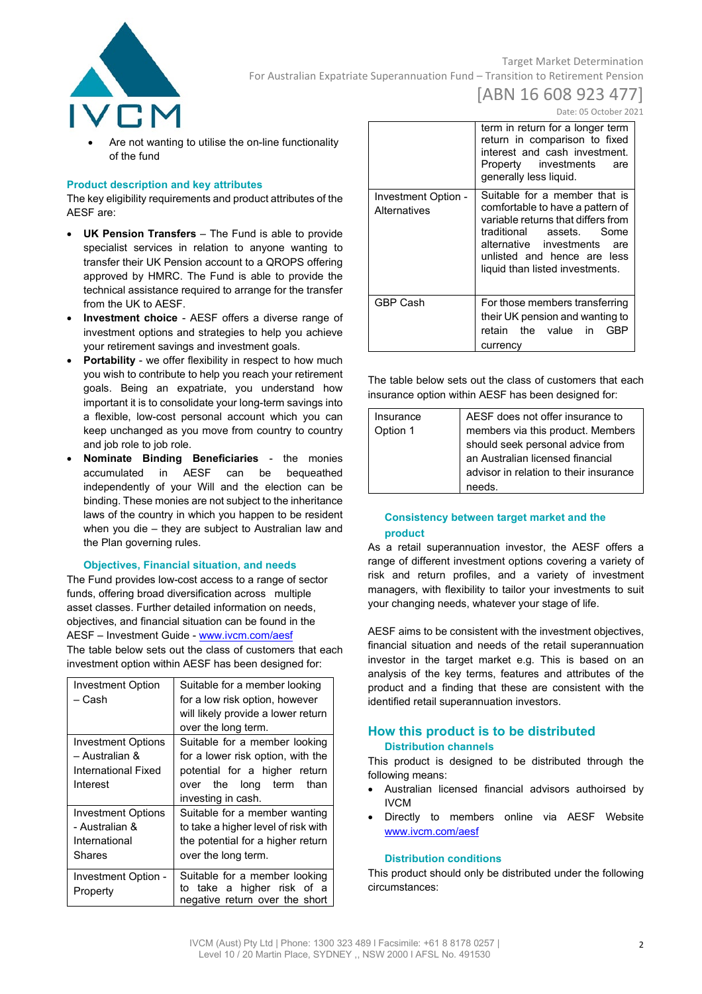

## Target Market Determination For Australian Expatriate Superannuation Fund – Transition to Retirement Pension

# [ABN 16 608 923 477]

Date: 05 October 2021

Are not wanting to utilise the on-line functionality of the fund

#### **Product description and key attributes**

The key eligibility requirements and product attributes of the AESF are:

- **UK Pension Transfers**  The Fund is able to provide specialist services in relation to anyone wanting to transfer their UK Pension account to a QROPS offering approved by HMRC. The Fund is able to provide the technical assistance required to arrange for the transfer from the UK to AESF.
- **Investment choice** AESF offers a diverse range of investment options and strategies to help you achieve your retirement savings and investment goals.
- **Portability** we offer flexibility in respect to how much you wish to contribute to help you reach your retirement goals. Being an expatriate, you understand how important it is to consolidate your long-term savings into a flexible, low-cost personal account which you can keep unchanged as you move from country to country and job role to job role.
- **Nominate Binding Beneficiaries** the monies accumulated in AESF can be bequeathed independently of your Will and the election can be binding. These monies are not subject to the inheritance laws of the country in which you happen to be resident when you die – they are subject to Australian law and the Plan governing rules.

#### **Objectives, Financial situation, and needs**

The Fund provides low-cost access to a range of sector funds, offering broad diversification across multiple asset classes. Further detailed information on needs, objectives, and financial situation can be found in the AESF – Investment Guide - [www.ivcm.com/aesf](http://www.ivcm.com/aesf) The table below sets out the class of customers that each investment option within AESF has been designed for:

| <b>Investment Option</b>  | Suitable for a member looking       |
|---------------------------|-------------------------------------|
| – Cash                    | for a low risk option, however      |
|                           | will likely provide a lower return  |
|                           | over the long term.                 |
| <b>Investment Options</b> | Suitable for a member looking       |
| – Australian &            | for a lower risk option, with the   |
| International Fixed       | potential for a higher return       |
| Interest                  | over the long term<br>than          |
|                           | investing in cash.                  |
| <b>Investment Options</b> | Suitable for a member wanting       |
| - Australian &            | to take a higher level of risk with |
| International             | the potential for a higher return   |
| Shares                    | over the long term.                 |
|                           |                                     |
| Investment Option -       | Suitable for a member looking       |
| Property                  | to take a higher risk of a          |
|                           | negative return over the short      |

|                                     | term in return for a longer term<br>return in comparison to fixed<br>interest and cash investment.<br>Property investments<br>are<br>generally less liquid.                                                                             |
|-------------------------------------|-----------------------------------------------------------------------------------------------------------------------------------------------------------------------------------------------------------------------------------------|
| Investment Option -<br>Alternatives | Suitable for a member that is<br>comfortable to have a pattern of<br>variable returns that differs from<br>traditional assets. Some<br>alternative investments<br>are<br>unlisted and hence are less<br>liquid than listed investments. |
| GBP Cash                            | For those members transferring<br>their UK pension and wanting to<br>retain the value in<br>GBP<br>currency                                                                                                                             |

The table below sets out the class of customers that each insurance option within AESF has been designed for:

| Insurance | AESF does not offer insurance to       |
|-----------|----------------------------------------|
| Option 1  | members via this product. Members      |
|           | should seek personal advice from       |
|           | an Australian licensed financial       |
|           | advisor in relation to their insurance |
|           | needs.                                 |

#### **Consistency between target market and the product**

As a retail superannuation investor, the AESF offers a range of different investment options covering a variety of risk and return profiles, and a variety of investment managers, with flexibility to tailor your investments to suit your changing needs, whatever your stage of life.

AESF aims to be consistent with the investment objectives, financial situation and needs of the retail superannuation investor in the target market e.g. This is based on an analysis of the key terms, features and attributes of the product and a finding that these are consistent with the identified retail superannuation investors.

#### **How this product is to be distributed Distribution channels**

This product is designed to be distributed through the following means:

- Australian licensed financial advisors authoirsed by IVCM
- Directly to members online via AESF Website [www.ivcm.com/aesf](http://www.ivcm.com/aesf)

#### **Distribution conditions**

This product should only be distributed under the following circumstances: